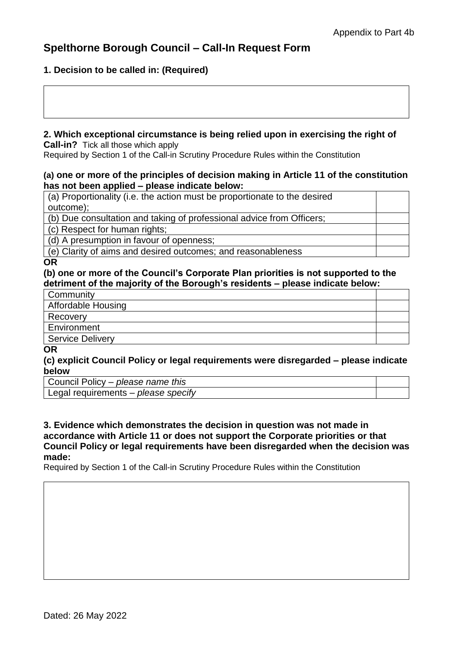# **Spelthorne Borough Council – Call-In Request Form**

# **1. Decision to be called in: (Required)**

# **2. Which exceptional circumstance is being relied upon in exercising the right of**

**Call-in?** Tick all those which apply

Required by Section 1 of the Call-in Scrutiny Procedure Rules within the Constitution

### **(a) one or more of the principles of decision making in Article 11 of the constitution has not been applied – please indicate below:**

| (a) Proportionality (i.e. the action must be proportionate to the desired |  |
|---------------------------------------------------------------------------|--|
| outcome);                                                                 |  |
| (b) Due consultation and taking of professional advice from Officers;     |  |
| (c) Respect for human rights;                                             |  |
| (d) A presumption in favour of openness;                                  |  |
| (e) Clarity of aims and desired outcomes; and reasonableness              |  |

### **OR**

# **(b) one or more of the Council's Corporate Plan priorities is not supported to the detriment of the majority of the Borough's residents – please indicate below:**

| Community               |  |
|-------------------------|--|
| Affordable Housing      |  |
| Recovery                |  |
| Environment             |  |
| <b>Service Delivery</b> |  |
|                         |  |

#### **OR**

### **(c) explicit Council Policy or legal requirements were disregarded – please indicate below**

Council Policy – *please name this*

Legal requirements – *please specify*

### **3. Evidence which demonstrates the decision in question was not made in accordance with Article 11 or does not support the Corporate priorities or that Council Policy or legal requirements have been disregarded when the decision was made:**

Required by Section 1 of the Call-in Scrutiny Procedure Rules within the Constitution